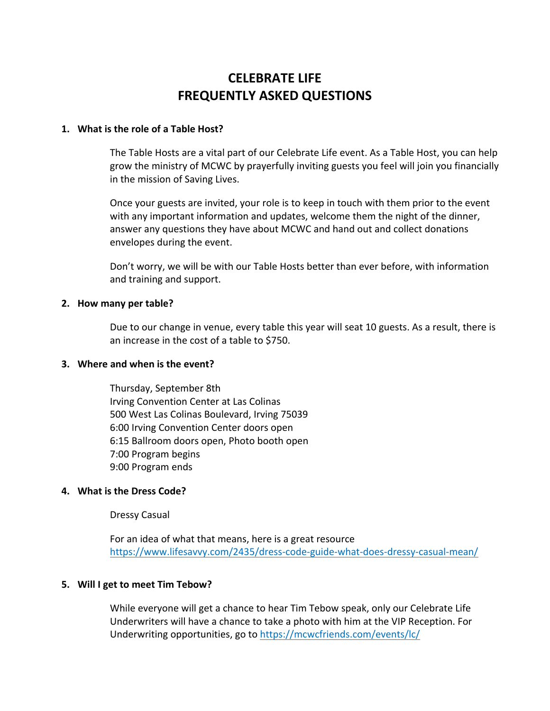# **CELEBRATE LIFE FREQUENTLY ASKED QUESTIONS**

## **1. What is the role of a Table Host?**

The Table Hosts are a vital part of our Celebrate Life event. As a Table Host, you can help grow the ministry of MCWC by prayerfully inviting guests you feel will join you financially in the mission of Saving Lives.

Once your guests are invited, your role is to keep in touch with them prior to the event with any important information and updates, welcome them the night of the dinner, answer any questions they have about MCWC and hand out and collect donations envelopes during the event.

Don't worry, we will be with our Table Hosts better than ever before, with information and training and support.

## **2. How many per table?**

Due to our change in venue, every table this year will seat 10 guests. As a result, there is an increase in the cost of a table to \$750.

#### **3. Where and when is the event?**

Thursday, September 8th Irving Convention Center at Las Colinas 500 West Las Colinas Boulevard, Irving 75039 6:00 Irving Convention Center doors open 6:15 Ballroom doors open, Photo booth open 7:00 Program begins 9:00 Program ends

# **4. What is the Dress Code?**

Dressy Casual

For an idea of what that means, here is a great resource https://www.lifesavvy.com/2435/dress-code-guide-what-does-dressy-casual-mean/

# **5. Will I get to meet Tim Tebow?**

While everyone will get a chance to hear Tim Tebow speak, only our Celebrate Life Underwriters will have a chance to take a photo with him at the VIP Reception. For Underwriting opportunities, go to https://mcwcfriends.com/events/lc/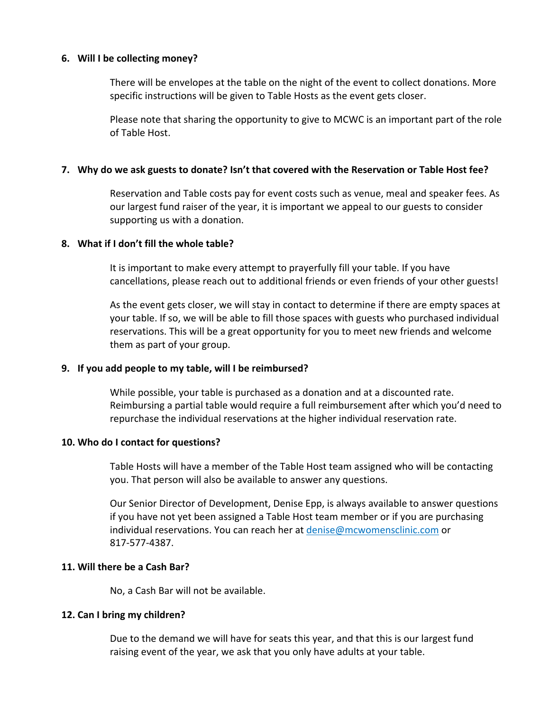## **6. Will I be collecting money?**

There will be envelopes at the table on the night of the event to collect donations. More specific instructions will be given to Table Hosts as the event gets closer.

Please note that sharing the opportunity to give to MCWC is an important part of the role of Table Host.

## **7. Why do we ask guests to donate? Isn't that covered with the Reservation or Table Host fee?**

Reservation and Table costs pay for event costs such as venue, meal and speaker fees. As our largest fund raiser of the year, it is important we appeal to our guests to consider supporting us with a donation.

# **8. What if I don't fill the whole table?**

It is important to make every attempt to prayerfully fill your table. If you have cancellations, please reach out to additional friends or even friends of your other guests!

As the event gets closer, we will stay in contact to determine if there are empty spaces at your table. If so, we will be able to fill those spaces with guests who purchased individual reservations. This will be a great opportunity for you to meet new friends and welcome them as part of your group.

# **9. If you add people to my table, will I be reimbursed?**

While possible, your table is purchased as a donation and at a discounted rate. Reimbursing a partial table would require a full reimbursement after which you'd need to repurchase the individual reservations at the higher individual reservation rate.

#### **10. Who do I contact for questions?**

Table Hosts will have a member of the Table Host team assigned who will be contacting you. That person will also be available to answer any questions.

Our Senior Director of Development, Denise Epp, is always available to answer questions if you have not yet been assigned a Table Host team member or if you are purchasing individual reservations. You can reach her at denise@mcwomensclinic.com or 817-577-4387.

#### **11. Will there be a Cash Bar?**

No, a Cash Bar will not be available.

# **12. Can I bring my children?**

Due to the demand we will have for seats this year, and that this is our largest fund raising event of the year, we ask that you only have adults at your table.